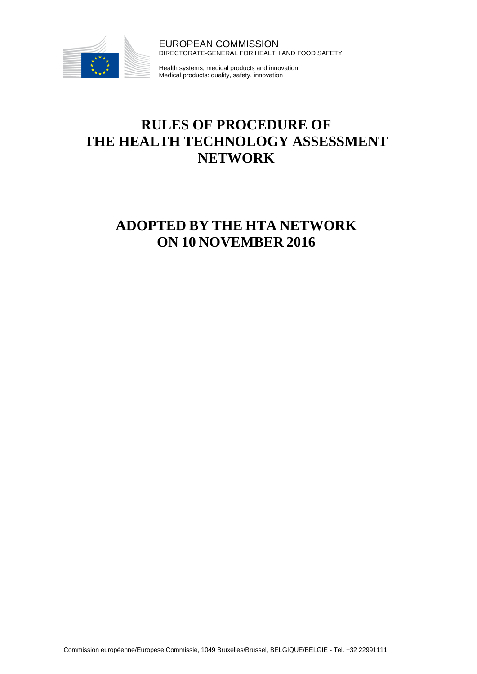

EUROPEAN COMMISSION DIRECTORATE-GENERAL FOR HEALTH AND FOOD SAFETY

Health systems, medical products and innovation Medical products: quality, safety, innovation

# **RULES OF PROCEDURE OF THE HEALTH TECHNOLOGY ASSESSMENT NETWORK**

# **ADOPTED BY THE HTA NETWORK ON 10 NOVEMBER 2016**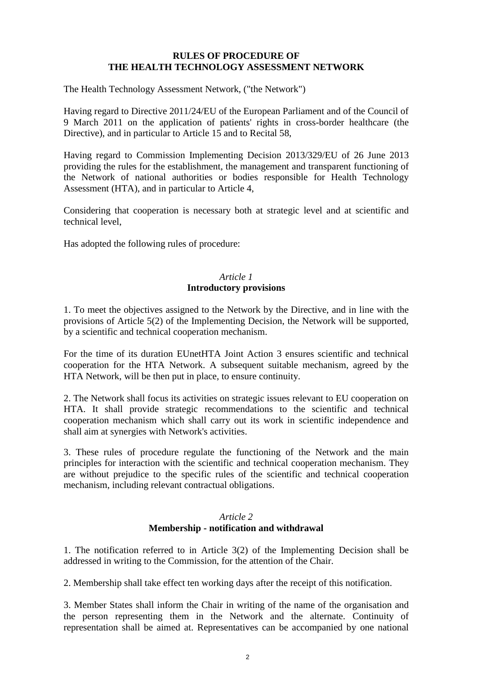#### **RULES OF PROCEDURE OF THE HEALTH TECHNOLOGY ASSESSMENT NETWORK**

The Health Technology Assessment Network, ("the Network")

Having regard to Directive 2011/24/EU of the European Parliament and of the Council of 9 March 2011 on the application of patients' rights in cross-border healthcare (the Directive), and in particular to Article 15 and to Recital 58,

Having regard to Commission Implementing Decision 2013/329/EU of 26 June 2013 providing the rules for the establishment, the management and transparent functioning of the Network of national authorities or bodies responsible for Health Technology Assessment (HTA), and in particular to Article 4,

Considering that cooperation is necessary both at strategic level and at scientific and technical level,

Has adopted the following rules of procedure:

#### *Article 1*  **Introductory provisions**

1. To meet the objectives assigned to the Network by the Directive, and in line with the provisions of Article 5(2) of the Implementing Decision, the Network will be supported, by a scientific and technical cooperation mechanism.

For the time of its duration EUnetHTA Joint Action 3 ensures scientific and technical cooperation for the HTA Network. A subsequent suitable mechanism, agreed by the HTA Network, will be then put in place, to ensure continuity.

2. The Network shall focus its activities on strategic issues relevant to EU cooperation on HTA. It shall provide strategic recommendations to the scientific and technical cooperation mechanism which shall carry out its work in scientific independence and shall aim at synergies with Network's activities.

3. These rules of procedure regulate the functioning of the Network and the main principles for interaction with the scientific and technical cooperation mechanism. They are without prejudice to the specific rules of the scientific and technical cooperation mechanism, including relevant contractual obligations.

#### *Article 2* **Membership - notification and withdrawal**

1. The notification referred to in Article 3(2) of the Implementing Decision shall be addressed in writing to the Commission, for the attention of the Chair.

2. Membership shall take effect ten working days after the receipt of this notification.

3. Member States shall inform the Chair in writing of the name of the organisation and the person representing them in the Network and the alternate. Continuity of representation shall be aimed at. Representatives can be accompanied by one national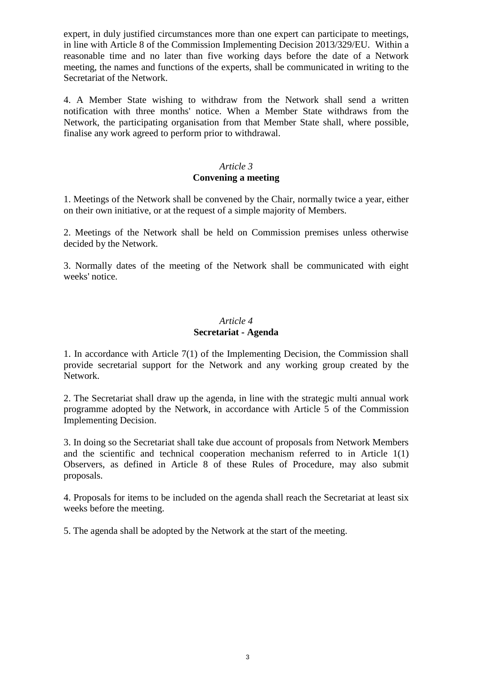expert, in duly justified circumstances more than one expert can participate to meetings, in line with Article 8 of the Commission Implementing Decision 2013/329/EU. Within a reasonable time and no later than five working days before the date of a Network meeting, the names and functions of the experts, shall be communicated in writing to the Secretariat of the Network.

4. A Member State wishing to withdraw from the Network shall send a written notification with three months' notice. When a Member State withdraws from the Network, the participating organisation from that Member State shall, where possible, finalise any work agreed to perform prior to withdrawal.

## *Article 3* **Convening a meeting**

1. Meetings of the Network shall be convened by the Chair, normally twice a year, either on their own initiative, or at the request of a simple majority of Members.

2. Meetings of the Network shall be held on Commission premises unless otherwise decided by the Network.

3. Normally dates of the meeting of the Network shall be communicated with eight weeks' notice.

#### *Article 4* **Secretariat - Agenda**

1. In accordance with Article 7(1) of the Implementing Decision, the Commission shall provide secretarial support for the Network and any working group created by the Network.

2. The Secretariat shall draw up the agenda, in line with the strategic multi annual work programme adopted by the Network, in accordance with Article 5 of the Commission Implementing Decision.

3. In doing so the Secretariat shall take due account of proposals from Network Members and the scientific and technical cooperation mechanism referred to in Article 1(1) Observers, as defined in Article 8 of these Rules of Procedure, may also submit proposals.

4. Proposals for items to be included on the agenda shall reach the Secretariat at least six weeks before the meeting.

5. The agenda shall be adopted by the Network at the start of the meeting.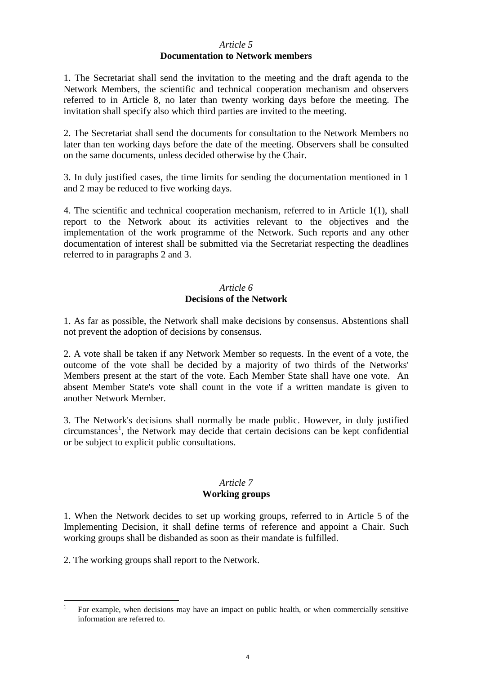#### *Article 5* **Documentation to Network members**

1. The Secretariat shall send the invitation to the meeting and the draft agenda to the Network Members, the scientific and technical cooperation mechanism and observers referred to in Article 8, no later than twenty working days before the meeting. The invitation shall specify also which third parties are invited to the meeting.

2. The Secretariat shall send the documents for consultation to the Network Members no later than ten working days before the date of the meeting. Observers shall be consulted on the same documents, unless decided otherwise by the Chair.

3. In duly justified cases, the time limits for sending the documentation mentioned in 1 and 2 may be reduced to five working days.

4. The scientific and technical cooperation mechanism, referred to in Article 1(1), shall report to the Network about its activities relevant to the objectives and the implementation of the work programme of the Network. Such reports and any other documentation of interest shall be submitted via the Secretariat respecting the deadlines referred to in paragraphs 2 and 3.

### *Article 6* **Decisions of the Network**

1. As far as possible, the Network shall make decisions by consensus. Abstentions shall not prevent the adoption of decisions by consensus.

2. A vote shall be taken if any Network Member so requests. In the event of a vote, the outcome of the vote shall be decided by a majority of two thirds of the Networks' Members present at the start of the vote. Each Member State shall have one vote. An absent Member State's vote shall count in the vote if a written mandate is given to another Network Member.

3. The Network's decisions shall normally be made public. However, in duly justified circumstances<sup>1</sup>, the Network may decide that certain decisions can be kept confidential or be subject to explicit public consultations.

### *Article 7* **Working groups**

1. When the Network decides to set up working groups, referred to in Article 5 of the Implementing Decision, it shall define terms of reference and appoint a Chair. Such working groups shall be disbanded as soon as their mandate is fulfilled.

2. The working groups shall report to the Network.

<sup>1</sup> 1 For example, when decisions may have an impact on public health, or when commercially sensitive information are referred to.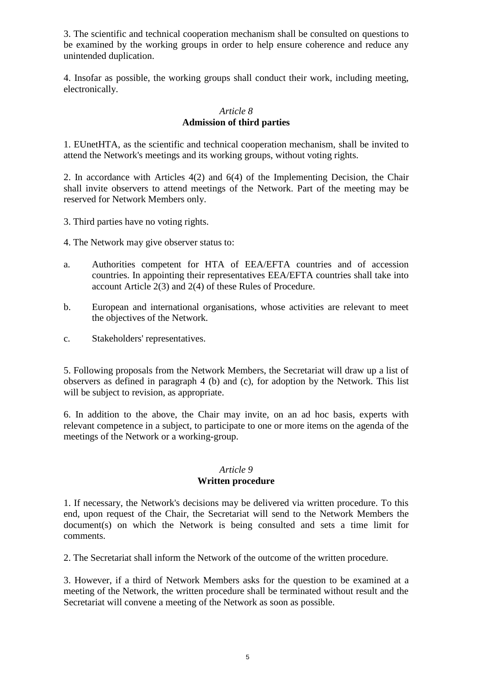3. The scientific and technical cooperation mechanism shall be consulted on questions to be examined by the working groups in order to help ensure coherence and reduce any unintended duplication.

4. Insofar as possible, the working groups shall conduct their work, including meeting, electronically.

### *Article 8* **Admission of third parties**

1. EUnetHTA, as the scientific and technical cooperation mechanism, shall be invited to attend the Network's meetings and its working groups, without voting rights.

2. In accordance with Articles 4(2) and 6(4) of the Implementing Decision, the Chair shall invite observers to attend meetings of the Network. Part of the meeting may be reserved for Network Members only.

- 3. Third parties have no voting rights.
- 4. The Network may give observer status to:
- a. Authorities competent for HTA of EEA/EFTA countries and of accession countries. In appointing their representatives EEA/EFTA countries shall take into account Article 2(3) and 2(4) of these Rules of Procedure.
- b. European and international organisations, whose activities are relevant to meet the objectives of the Network.
- c. Stakeholders' representatives.

5. Following proposals from the Network Members, the Secretariat will draw up a list of observers as defined in paragraph 4 (b) and (c), for adoption by the Network. This list will be subject to revision, as appropriate.

6. In addition to the above, the Chair may invite, on an ad hoc basis, experts with relevant competence in a subject, to participate to one or more items on the agenda of the meetings of the Network or a working-group.

#### *Article 9* **Written procedure**

1. If necessary, the Network's decisions may be delivered via written procedure. To this end, upon request of the Chair, the Secretariat will send to the Network Members the document(s) on which the Network is being consulted and sets a time limit for comments.

2. The Secretariat shall inform the Network of the outcome of the written procedure.

3. However, if a third of Network Members asks for the question to be examined at a meeting of the Network, the written procedure shall be terminated without result and the Secretariat will convene a meeting of the Network as soon as possible.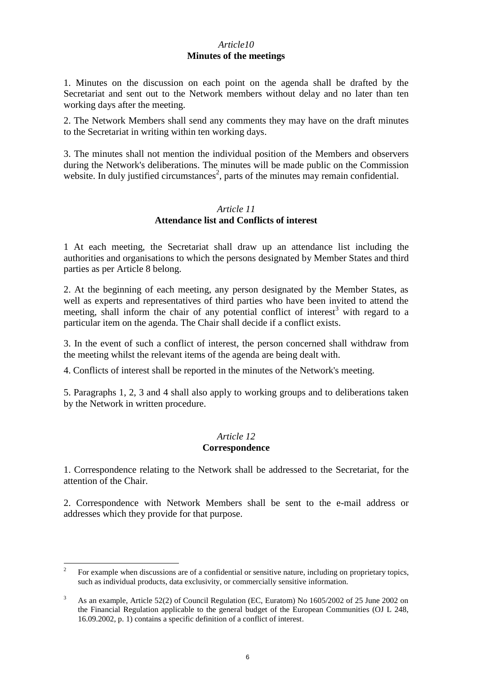## *Article10* **Minutes of the meetings**

1. Minutes on the discussion on each point on the agenda shall be drafted by the Secretariat and sent out to the Network members without delay and no later than ten working days after the meeting.

2. The Network Members shall send any comments they may have on the draft minutes to the Secretariat in writing within ten working days.

3. The minutes shall not mention the individual position of the Members and observers during the Network's deliberations. The minutes will be made public on the Commission website. In duly justified circumstances<sup>2</sup>, parts of the minutes may remain confidential.

### *Article 11* **Attendance list and Conflicts of interest**

1 At each meeting, the Secretariat shall draw up an attendance list including the authorities and organisations to which the persons designated by Member States and third parties as per Article 8 belong.

2. At the beginning of each meeting, any person designated by the Member States, as well as experts and representatives of third parties who have been invited to attend the meeting, shall inform the chair of any potential conflict of interest<sup>3</sup> with regard to a particular item on the agenda. The Chair shall decide if a conflict exists.

3. In the event of such a conflict of interest, the person concerned shall withdraw from the meeting whilst the relevant items of the agenda are being dealt with.

4. Conflicts of interest shall be reported in the minutes of the Network's meeting.

5. Paragraphs 1, 2, 3 and 4 shall also apply to working groups and to deliberations taken by the Network in written procedure.

## *Article 12*

#### **Correspondence**

1. Correspondence relating to the Network shall be addressed to the Secretariat, for the attention of the Chair.

2. Correspondence with Network Members shall be sent to the e-mail address or addresses which they provide for that purpose.

 $\frac{1}{2}$ For example when discussions are of a confidential or sensitive nature, including on proprietary topics, such as individual products, data exclusivity, or commercially sensitive information.

<sup>&</sup>lt;sup>3</sup> As an example, Article 52(2) of Council Regulation (EC, Euratom) No 1605/2002 of 25 June 2002 on the Financial Regulation applicable to the general budget of the European Communities (OJ L 248, 16.09.2002, p. 1) contains a specific definition of a conflict of interest.